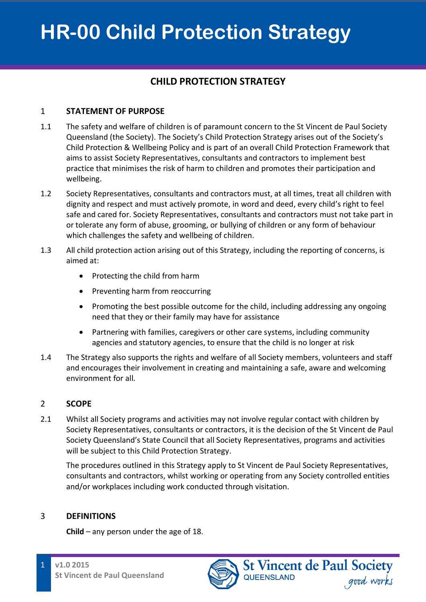## **CHILD PROTECTION STRATEGY**

### 1 **STATEMENT OF PURPOSE**

- 1.1 The safety and welfare of children is of paramount concern to the St Vincent de Paul Society Queensland (the Society). The Society's Child Protection Strategy arises out of the Society's Child Protection & Wellbeing Policy and is part of an overall Child Protection Framework that aims to assist Society Representatives, consultants and contractors to implement best practice that minimises the risk of harm to children and promotes their participation and wellbeing.
- 1.2 Society Representatives, consultants and contractors must, at all times, treat all children with dignity and respect and must actively promote, in word and deed, every child's right to feel safe and cared for. Society Representatives, consultants and contractors must not take part in or tolerate any form of abuse, grooming, or bullying of children or any form of behaviour which challenges the safety and wellbeing of children.
- 1.3 All child protection action arising out of this Strategy, including the reporting of concerns, is aimed at:
	- Protecting the child from harm
	- Preventing harm from reoccurring
	- Promoting the best possible outcome for the child, including addressing any ongoing need that they or their family may have for assistance
	- Partnering with families, caregivers or other care systems, including community agencies and statutory agencies, to ensure that the child is no longer at risk
- 1.4 The Strategy also supports the rights and welfare of all Society members, volunteers and staff and encourages their involvement in creating and maintaining a safe, aware and welcoming environment for all.

### 2 **SCOPE**

2.1 Whilst all Society programs and activities may not involve regular contact with children by Society Representatives, consultants or contractors, it is the decision of the St Vincent de Paul Society Queensland's State Council that all Society Representatives, programs and activities will be subject to this Child Protection Strategy.

The procedures outlined in this Strategy apply to St Vincent de Paul Society Representatives, consultants and contractors, whilst working or operating from any Society controlled entities and/or workplaces including work conducted through visitation.

### 3 **DEFINITIONS**

**Child** – any person under the age of 18.

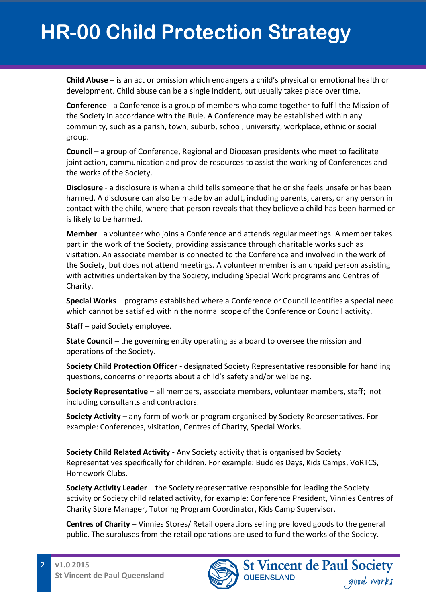**Child Abuse** – is an act or omission which endangers a child's physical or emotional health or development. Child abuse can be a single incident, but usually takes place over time.

**Conference** - a Conference is a group of members who come together to fulfil the Mission of the Society in accordance with the Rule. A Conference may be established within any community, such as a parish, town, suburb, school, university, workplace, ethnic or social group.

**Council** – a group of Conference, Regional and Diocesan presidents who meet to facilitate joint action, communication and provide resources to assist the working of Conferences and the works of the Society.

**Disclosure** - a disclosure is when a child tells someone that he or she feels unsafe or has been harmed. A disclosure can also be made by an adult, including parents, carers, or any person in contact with the child, where that person reveals that they believe a child has been harmed or is likely to be harmed.

**Member** –a volunteer who joins a Conference and attends regular meetings. A member takes part in the work of the Society, providing assistance through charitable works such as visitation. An associate member is connected to the Conference and involved in the work of the Society, but does not attend meetings. A volunteer member is an unpaid person assisting with activities undertaken by the Society, including Special Work programs and Centres of Charity.

**Special Works** – programs established where a Conference or Council identifies a special need which cannot be satisfied within the normal scope of the Conference or Council activity.

**Staff** – paid Society employee.

**State Council** – the governing entity operating as a board to oversee the mission and operations of the Society.

**Society Child Protection Officer** - designated Society Representative responsible for handling questions, concerns or reports about a child's safety and/or wellbeing.

**Society Representative** – all members, associate members, volunteer members, staff; not including consultants and contractors.

**Society Activity** – any form of work or program organised by Society Representatives. For example: Conferences, visitation, Centres of Charity, Special Works.

**Society Child Related Activity** - Any Society activity that is organised by Society Representatives specifically for children. For example: Buddies Days, Kids Camps, VoRTCS, Homework Clubs.

**Society Activity Leader** – the Society representative responsible for leading the Society activity or Society child related activity, for example: Conference President, Vinnies Centres of Charity Store Manager, Tutoring Program Coordinator, Kids Camp Supervisor.

**Centres of Charity** – Vinnies Stores/ Retail operations selling pre loved goods to the general public. The surpluses from the retail operations are used to fund the works of the Society.

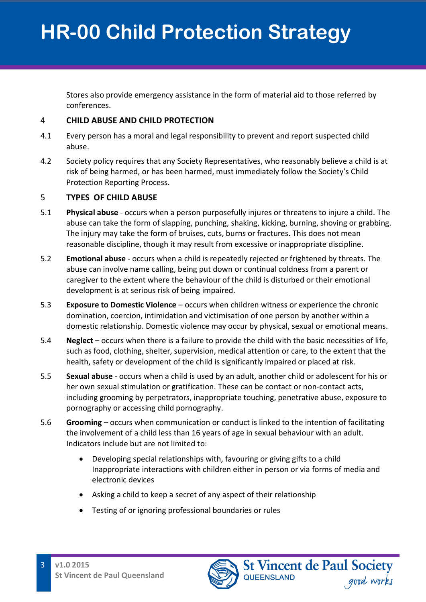Stores also provide emergency assistance in the form of material aid to those referred by conferences.

#### 4 **CHILD ABUSE AND CHILD PROTECTION**

- 4.1 Every person has a moral and legal responsibility to prevent and report suspected child abuse.
- 4.2 Society policy requires that any Society Representatives, who reasonably believe a child is at risk of being harmed, or has been harmed, must immediately follow the Society's Child Protection Reporting Process.

### 5 **TYPES OF CHILD ABUSE**

- 5.1 **Physical abuse** occurs when a person purposefully injures or threatens to injure a child. The abuse can take the form of slapping, punching, shaking, kicking, burning, shoving or grabbing. The injury may take the form of bruises, cuts, burns or fractures. This does not mean reasonable discipline, though it may result from excessive or inappropriate discipline.
- 5.2 **Emotional abuse** occurs when a child is repeatedly rejected or frightened by threats. The abuse can involve name calling, being put down or continual coldness from a parent or caregiver to the extent where the behaviour of the child is disturbed or their emotional development is at serious risk of being impaired.
- 5.3 **Exposure to Domestic Violence** occurs when children witness or experience the chronic domination, coercion, intimidation and victimisation of one person by another within a domestic relationship. Domestic violence may occur by physical, sexual or emotional means.
- 5.4 **Neglect** occurs when there is a failure to provide the child with the basic necessities of life, such as food, clothing, shelter, supervision, medical attention or care, to the extent that the health, safety or development of the child is significantly impaired or placed at risk.
- 5.5 **Sexual abuse** occurs when a child is used by an adult, another child or adolescent for his or her own sexual stimulation or gratification. These can be contact or non-contact acts, including grooming by perpetrators, inappropriate touching, penetrative abuse, exposure to pornography or accessing child pornography.
- 5.6 **Grooming** occurs when communication or conduct is linked to the intention of facilitating the involvement of a child less than 16 years of age in sexual behaviour with an adult. Indicators include but are not limited to:
	- Developing special relationships with, favouring or giving gifts to a child Inappropriate interactions with children either in person or via forms of media and electronic devices
	- Asking a child to keep a secret of any aspect of their relationship
	- Testing of or ignoring professional boundaries or rules

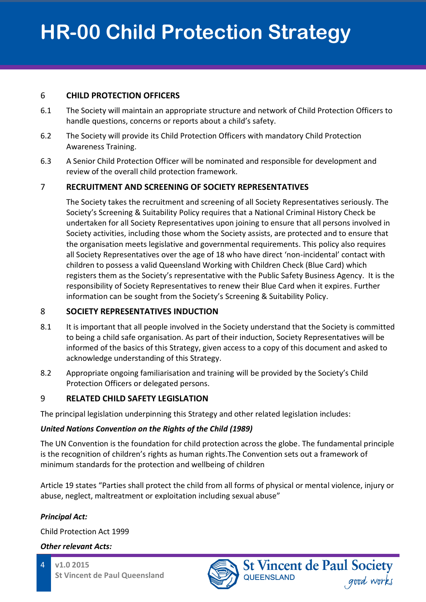### 6 **CHILD PROTECTION OFFICERS**

- 6.1 The Society will maintain an appropriate structure and network of Child Protection Officers to handle questions, concerns or reports about a child's safety.
- 6.2 The Society will provide its Child Protection Officers with mandatory Child Protection Awareness Training.
- 6.3 A Senior Child Protection Officer will be nominated and responsible for development and review of the overall child protection framework.

## 7 **RECRUITMENT AND SCREENING OF SOCIETY REPRESENTATIVES**

The Society takes the recruitment and screening of all Society Representatives seriously. The Society's Screening & Suitability Policy requires that a National Criminal History Check be undertaken for all Society Representatives upon joining to ensure that all persons involved in Society activities, including those whom the Society assists, are protected and to ensure that the organisation meets legislative and governmental requirements. This policy also requires all Society Representatives over the age of 18 who have direct 'non-incidental' contact with children to possess a valid Queensland Working with Children Check (Blue Card) which registers them as the Society's representative with the Public Safety Business Agency. It is the responsibility of Society Representatives to renew their Blue Card when it expires. Further information can be sought from the Society's Screening & Suitability Policy.

## 8 **SOCIETY REPRESENTATIVES INDUCTION**

- 8.1 It is important that all people involved in the Society understand that the Society is committed to being a child safe organisation. As part of their induction, Society Representatives will be informed of the basics of this Strategy, given access to a copy of this document and asked to acknowledge understanding of this Strategy.
- 8.2 Appropriate ongoing familiarisation and training will be provided by the Society's Child Protection Officers or delegated persons.

## 9 **RELATED CHILD SAFETY LEGISLATION**

The principal legislation underpinning this Strategy and other related legislation includes:

## *United Nations Convention on the Rights of the Child (1989)*

The UN Convention is the foundation for child protection across the globe. The fundamental principle is the recognition of children's rights as human rights.The Convention sets out a framework of minimum standards for the protection and wellbeing of children

Article 19 states "Parties shall protect the child from all forms of physical or mental violence, injury or abuse, neglect, maltreatment or exploitation including sexual abuse"

## *Principal Act:*

Child Protection Act 1999

### *Other relevant Acts:*



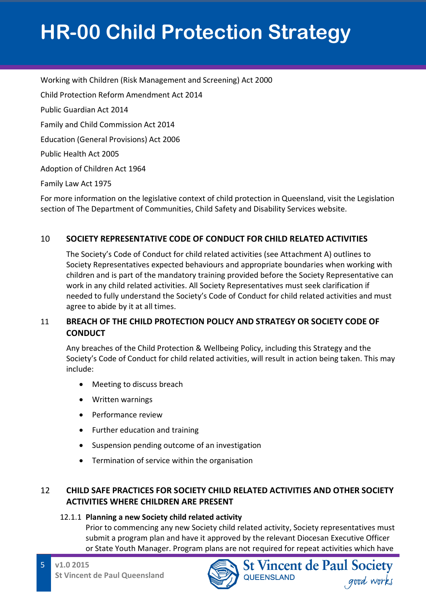Working with Children (Risk Management and Screening) Act 2000 Child Protection Reform Amendment Act 2014 Public Guardian Act 2014 Family and Child Commission Act 2014 Education (General Provisions) Act 2006 Public Health Act 2005 Adoption of Children Act 1964 Family Law Act 1975

For more information on the legislative context of child protection in Queensland, visit the Legislation section of The Department of Communities, Child Safety and Disability Services website.

### 10 **SOCIETY REPRESENTATIVE CODE OF CONDUCT FOR CHILD RELATED ACTIVITIES**

The Society's Code of Conduct for child related activities (see Attachment A) outlines to Society Representatives expected behaviours and appropriate boundaries when working with children and is part of the mandatory training provided before the Society Representative can work in any child related activities. All Society Representatives must seek clarification if needed to fully understand the Society's Code of Conduct for child related activities and must agree to abide by it at all times.

### 11 **BREACH OF THE CHILD PROTECTION POLICY AND STRATEGY OR SOCIETY CODE OF CONDUCT**

Any breaches of the Child Protection & Wellbeing Policy, including this Strategy and the Society's Code of Conduct for child related activities, will result in action being taken. This may include:

- Meeting to discuss breach
- Written warnings
- Performance review
- Further education and training
- Suspension pending outcome of an investigation
- Termination of service within the organisation

## 12 **CHILD SAFE PRACTICES FOR SOCIETY CHILD RELATED ACTIVITIES AND OTHER SOCIETY ACTIVITIES WHERE CHILDREN ARE PRESENT**

### 12.1.1 **Planning a new Society child related activity**

Prior to commencing any new Society child related activity, Society representatives must submit a program plan and have it approved by the relevant Diocesan Executive Officer or State Youth Manager. Program plans are not required for repeat activities which have

**QUEENSLAND** 

**St Vincent de Paul Society** 

good works

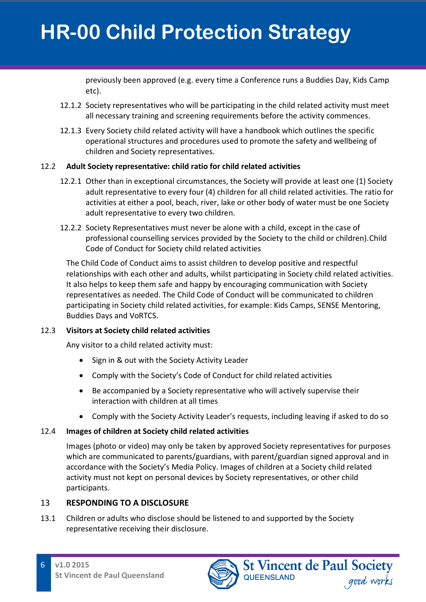previously been approved (e.g. every time a Conference runs a Buddies Day, Kids Camp etc).

- 12.1.2 Society representatives who will be participating in the child related activity must meet all necessary training and screening requirements before the activity commences.
- 12.1.3 Every Society child related activity will have a handbook which outlines the specific operational structures and procedures used to promote the safety and wellbeing of children and Society representatives.

#### 12.2 **Adult Society representative: child ratio for child related activities**

- 12.2.1 Other than in exceptional circumstances, the Society will provide at least one (1) Society adult representative to every four (4) children for all child related activities. The ratio for activities at either a pool, beach, river, lake or other body of water must be one Society adult representative to every two children.
- 12.2.2 Society Representatives must never be alone with a child, except in the case of professional counselling services provided by the Society to the child or children).Child Code of Conduct for Society child related activities

The Child Code of Conduct aims to assist children to develop positive and respectful relationships with each other and adults, whilst participating in Society child related activities. It also helps to keep them safe and happy by encouraging communication with Society representatives as needed. The Child Code of Conduct will be communicated to children participating in Society child related activities, for example: Kids Camps, SENSE Mentoring, Buddies Days and VoRTCS.

### 12.3 **Visitors at Society child related activities**

Any visitor to a child related activity must:

- Sign in & out with the Society Activity Leader
- Comply with the Society's Code of Conduct for child related activities
- Be accompanied by a Society representative who will actively supervise their interaction with children at all times
- Comply with the Society Activity Leader's requests, including leaving if asked to do so

### 12.4 **Images of children at Society child related activities**

Images (photo or video) may only be taken by approved Society representatives for purposes which are communicated to parents/guardians, with parent/guardian signed approval and in accordance with the Society's Media Policy. Images of children at a Society child related activity must not kept on personal devices by Society representatives, or other child participants.

## 13 **RESPONDING TO A DISCLOSURE**

13.1 Children or adults who disclose should be listened to and supported by the Society representative receiving their disclosure.

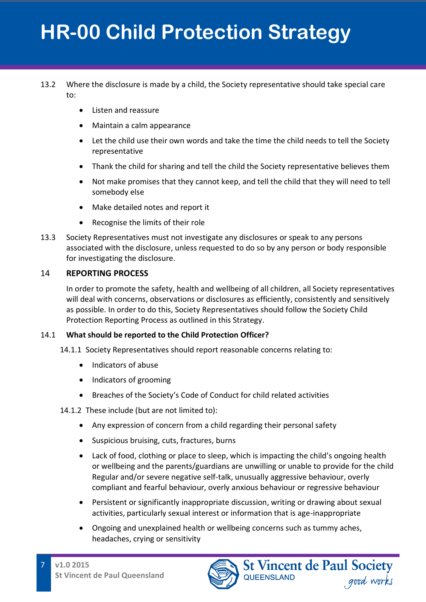### 13.2 Where the disclosure is made by a child, the Society representative should take special care to:

- Listen and reassure
- Maintain a calm appearance
- Let the child use their own words and take the time the child needs to tell the Society representative
- Thank the child for sharing and tell the child the Society representative believes them
- Not make promises that they cannot keep, and tell the child that they will need to tell somebody else
- Make detailed notes and report it
- Recognise the limits of their role
- 13.3 Society Representatives must not investigate any disclosures or speak to any persons associated with the disclosure, unless requested to do so by any person or body responsible for investigating the disclosure.

### 14 **REPORTING PROCESS**

In order to promote the safety, health and wellbeing of all children, all Society representatives will deal with concerns, observations or disclosures as efficiently, consistently and sensitively as possible. In order to do this, Society Representatives should follow the Society Child Protection Reporting Process as outlined in this Strategy.

#### 14.1 **What should be reported to the Child Protection Officer?**

14.1.1 Society Representatives should report reasonable concerns relating to:

- Indicators of abuse
- Indicators of grooming
- Breaches of the Society's Code of Conduct for child related activities

#### 14.1.2 These include (but are not limited to):

- Any expression of concern from a child regarding their personal safety
- Suspicious bruising, cuts, fractures, burns
- Lack of food, clothing or place to sleep, which is impacting the child's ongoing health or wellbeing and the parents/guardians are unwilling or unable to provide for the child Regular and/or severe negative self-talk, unusually aggressive behaviour, overly compliant and fearful behaviour, overly anxious behaviour or regressive behaviour
- Persistent or significantly inappropriate discussion, writing or drawing about sexual activities, particularly sexual interest or information that is age-inappropriate
- Ongoing and unexplained health or wellbeing concerns such as tummy aches, headaches, crying or sensitivity

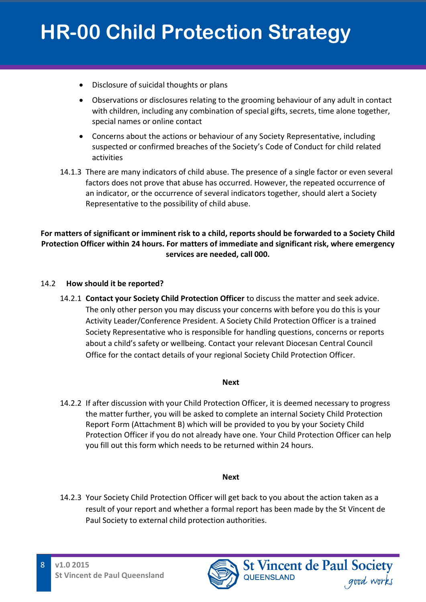- Disclosure of suicidal thoughts or plans
- Observations or disclosures relating to the grooming behaviour of any adult in contact with children, including any combination of special gifts, secrets, time alone together, special names or online contact
- Concerns about the actions or behaviour of any Society Representative, including suspected or confirmed breaches of the Society's Code of Conduct for child related activities
- 14.1.3 There are many indicators of child abuse. The presence of a single factor or even several factors does not prove that abuse has occurred. However, the repeated occurrence of an indicator, or the occurrence of several indicators together, should alert a Society Representative to the possibility of child abuse.

#### **For matters of significant or imminent risk to a child, reports should be forwarded to a Society Child Protection Officer within 24 hours. For matters of immediate and significant risk, where emergency services are needed, call 000.**

#### 14.2 **How should it be reported?**

14.2.1 **Contact your Society Child Protection Officer** to discuss the matter and seek advice. The only other person you may discuss your concerns with before you do this is your Activity Leader/Conference President. A Society Child Protection Officer is a trained Society Representative who is responsible for handling questions, concerns or reports about a child's safety or wellbeing. Contact your relevant Diocesan Central Council Office for the contact details of your regional Society Child Protection Officer.

#### **Next**

14.2.2 If after discussion with your Child Protection Officer, it is deemed necessary to progress the matter further, you will be asked to complete an internal Society Child Protection Report Form (Attachment B) which will be provided to you by your Society Child Protection Officer if you do not already have one. Your Child Protection Officer can help you fill out this form which needs to be returned within 24 hours.

#### **Next**

14.2.3 Your Society Child Protection Officer will get back to you about the action taken as a result of your report and whether a formal report has been made by the St Vincent de Paul Society to external child protection authorities.

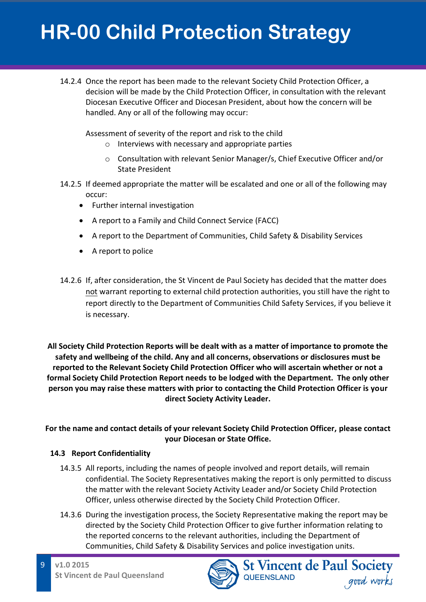14.2.4 Once the report has been made to the relevant Society Child Protection Officer, a decision will be made by the Child Protection Officer, in consultation with the relevant Diocesan Executive Officer and Diocesan President, about how the concern will be handled. Any or all of the following may occur:

Assessment of severity of the report and risk to the child

- o Interviews with necessary and appropriate parties
- o Consultation with relevant Senior Manager/s, Chief Executive Officer and/or State President
- 14.2.5 If deemed appropriate the matter will be escalated and one or all of the following may occur:
	- Further internal investigation
	- A report to a Family and Child Connect Service (FACC)
	- A report to the Department of Communities, Child Safety & Disability Services
	- A report to police
- 14.2.6 If, after consideration, the St Vincent de Paul Society has decided that the matter does not warrant reporting to external child protection authorities, you still have the right to report directly to the Department of Communities Child Safety Services, if you believe it is necessary.

**All Society Child Protection Reports will be dealt with as a matter of importance to promote the safety and wellbeing of the child. Any and all concerns, observations or disclosures must be reported to the Relevant Society Child Protection Officer who will ascertain whether or not a formal Society Child Protection Report needs to be lodged with the Department. The only other person you may raise these matters with prior to contacting the Child Protection Officer is your direct Society Activity Leader.**

## **For the name and contact details of your relevant Society Child Protection Officer, please contact your Diocesan or State Office.**

### **14.3 Report Confidentiality**

- 14.3.5 All reports, including the names of people involved and report details, will remain confidential. The Society Representatives making the report is only permitted to discuss the matter with the relevant Society Activity Leader and/or Society Child Protection Officer, unless otherwise directed by the Society Child Protection Officer.
- 14.3.6 During the investigation process, the Society Representative making the report may be directed by the Society Child Protection Officer to give further information relating to the reported concerns to the relevant authorities, including the Department of Communities, Child Safety & Disability Services and police investigation units.

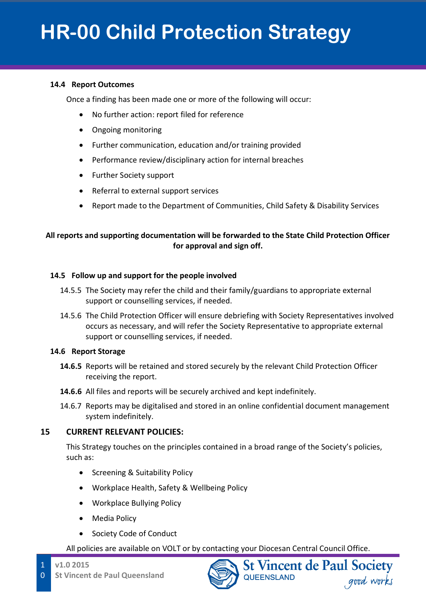#### **14.4 Report Outcomes**

Once a finding has been made one or more of the following will occur:

- No further action: report filed for reference
- Ongoing monitoring
- Further communication, education and/or training provided
- Performance review/disciplinary action for internal breaches
- Further Society support
- Referral to external support services
- Report made to the Department of Communities, Child Safety & Disability Services

#### **All reports and supporting documentation will be forwarded to the State Child Protection Officer for approval and sign off.**

#### **14.5 Follow up and support for the people involved**

- 14.5.5 The Society may refer the child and their family/guardians to appropriate external support or counselling services, if needed.
- 14.5.6 The Child Protection Officer will ensure debriefing with Society Representatives involved occurs as necessary, and will refer the Society Representative to appropriate external support or counselling services, if needed.

#### **14.6 Report Storage**

- **14.6.5** Reports will be retained and stored securely by the relevant Child Protection Officer receiving the report.
- **14.6.6** All files and reports will be securely archived and kept indefinitely.
- 14.6.7 Reports may be digitalised and stored in an online confidential document management system indefinitely.

#### **15 CURRENT RELEVANT POLICIES:**

This Strategy touches on the principles contained in a broad range of the Society's policies, such as:

- Screening & Suitability Policy
- Workplace Health, Safety & Wellbeing Policy
- Workplace Bullying Policy
- Media Policy
- Society Code of Conduct

All policies are available on VOLT or by contacting your Diocesan Central Council Office.



**St Vincent de Paul Society** 

good works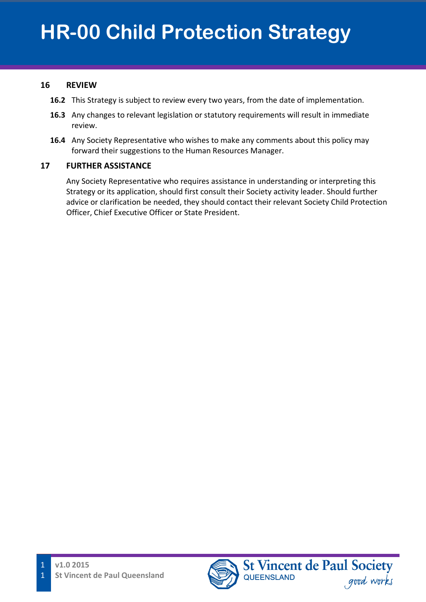#### **16 REVIEW**

- **16.2** This Strategy is subject to review every two years, from the date of implementation.
- **16.3** Any changes to relevant legislation or statutory requirements will result in immediate review.
- **16.4** Any Society Representative who wishes to make any comments about this policy may forward their suggestions to the Human Resources Manager.

### **17 FURTHER ASSISTANCE**

Any Society Representative who requires assistance in understanding or interpreting this Strategy or its application, should first consult their Society activity leader. Should further advice or clarification be needed, they should contact their relevant Society Child Protection Officer, Chief Executive Officer or State President.

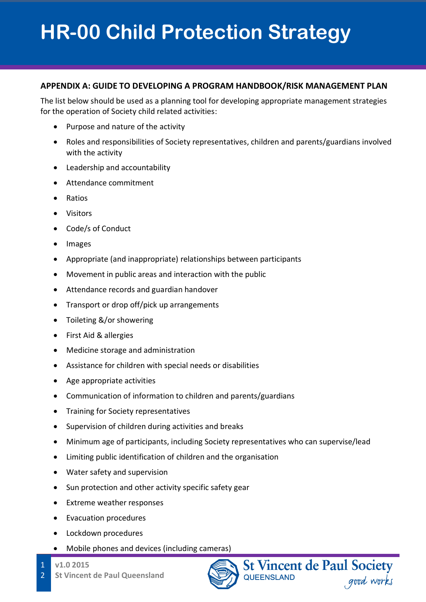#### **APPENDIX A: GUIDE TO DEVELOPING A PROGRAM HANDBOOK/RISK MANAGEMENT PLAN**

The list below should be used as a planning tool for developing appropriate management strategies for the operation of Society child related activities:

- Purpose and nature of the activity
- Roles and responsibilities of Society representatives, children and parents/guardians involved with the activity
- Leadership and accountability
- Attendance commitment
- Ratios
- Visitors
- Code/s of Conduct
- Images
- Appropriate (and inappropriate) relationships between participants
- Movement in public areas and interaction with the public
- Attendance records and guardian handover
- Transport or drop off/pick up arrangements
- Toileting &/or showering
- First Aid & allergies
- Medicine storage and administration
- Assistance for children with special needs or disabilities
- Age appropriate activities
- Communication of information to children and parents/guardians
- Training for Society representatives
- Supervision of children during activities and breaks
- Minimum age of participants, including Society representatives who can supervise/lead
- Limiting public identification of children and the organisation
- Water safety and supervision
- Sun protection and other activity specific safety gear
- Extreme weather responses
- Evacuation procedures
- Lockdown procedures
- Mobile phones and devices (including cameras)
- **v1.0 2015**

1

2 **St Vincent de Paul Queensland**



**St Vincent de Paul Society QUEENSLAND** good works